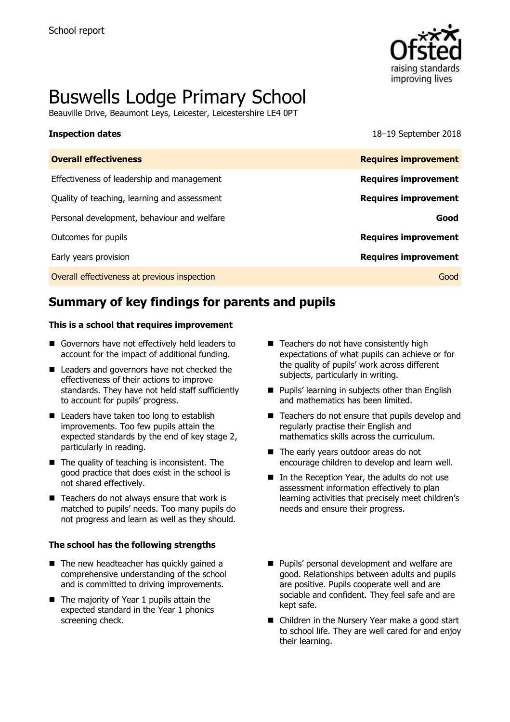

# Buswells Lodge Primary School

Beauville Drive, Beaumont Leys, Leicester, Leicestershire LE4 0PT

**Inspection dates** 18–19 September 2018

| <b>Overall effectiveness</b>                 | <b>Requires improvement</b> |
|----------------------------------------------|-----------------------------|
| Effectiveness of leadership and management   | <b>Requires improvement</b> |
| Quality of teaching, learning and assessment | <b>Requires improvement</b> |
| Personal development, behaviour and welfare  | Good                        |
| Outcomes for pupils                          | <b>Requires improvement</b> |
| Early years provision                        | <b>Requires improvement</b> |
| Overall effectiveness at previous inspection | Good                        |

# **Summary of key findings for parents and pupils**

### **This is a school that requires improvement**

- Governors have not effectively held leaders to account for the impact of additional funding.
- Leaders and governors have not checked the effectiveness of their actions to improve standards. They have not held staff sufficiently to account for pupils' progress.
- Leaders have taken too long to establish improvements. Too few pupils attain the expected standards by the end of key stage 2, particularly in reading.
- $\blacksquare$  The quality of teaching is inconsistent. The good practice that does exist in the school is not shared effectively.
- $\blacksquare$  Teachers do not always ensure that work is matched to pupils' needs. Too many pupils do not progress and learn as well as they should.

### **The school has the following strengths**

- The new headteacher has quickly gained a comprehensive understanding of the school and is committed to driving improvements.
- The majority of Year 1 pupils attain the expected standard in the Year 1 phonics screening check.
- Teachers do not have consistently high expectations of what pupils can achieve or for the quality of pupils' work across different subjects, particularly in writing.
- **Pupils' learning in subjects other than English** and mathematics has been limited.
- Teachers do not ensure that pupils develop and regularly practise their English and mathematics skills across the curriculum.
- The early years outdoor areas do not encourage children to develop and learn well.
- In the Reception Year, the adults do not use assessment information effectively to plan learning activities that precisely meet children's needs and ensure their progress.
- **Pupils' personal development and welfare are** good. Relationships between adults and pupils are positive. Pupils cooperate well and are sociable and confident. They feel safe and are kept safe.
- Children in the Nursery Year make a good start to school life. They are well cared for and enjoy their learning.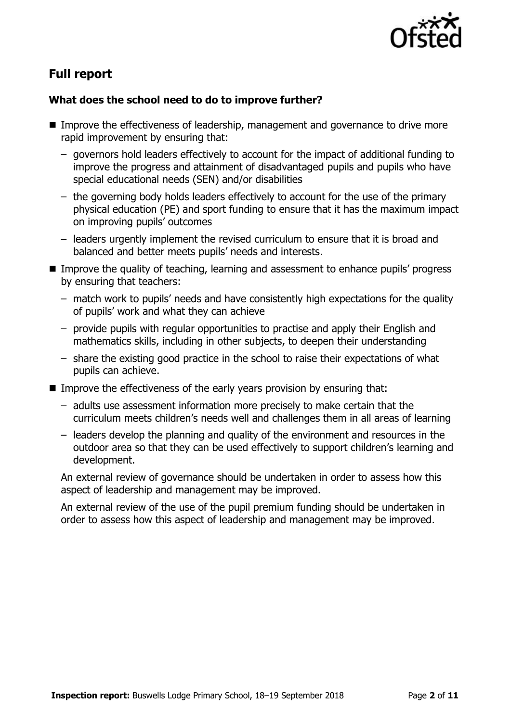

# **Full report**

### **What does the school need to do to improve further?**

- Improve the effectiveness of leadership, management and governance to drive more rapid improvement by ensuring that:
	- governors hold leaders effectively to account for the impact of additional funding to improve the progress and attainment of disadvantaged pupils and pupils who have special educational needs (SEN) and/or disabilities
	- the governing body holds leaders effectively to account for the use of the primary physical education (PE) and sport funding to ensure that it has the maximum impact on improving pupils' outcomes
	- leaders urgently implement the revised curriculum to ensure that it is broad and balanced and better meets pupils' needs and interests.
- Improve the quality of teaching, learning and assessment to enhance pupils' progress by ensuring that teachers:
	- match work to pupils' needs and have consistently high expectations for the quality of pupils' work and what they can achieve
	- provide pupils with regular opportunities to practise and apply their English and mathematics skills, including in other subjects, to deepen their understanding
	- share the existing good practice in the school to raise their expectations of what pupils can achieve.
- Improve the effectiveness of the early years provision by ensuring that:
	- adults use assessment information more precisely to make certain that the curriculum meets children's needs well and challenges them in all areas of learning
	- leaders develop the planning and quality of the environment and resources in the outdoor area so that they can be used effectively to support children's learning and development.

An external review of governance should be undertaken in order to assess how this aspect of leadership and management may be improved.

An external review of the use of the pupil premium funding should be undertaken in order to assess how this aspect of leadership and management may be improved.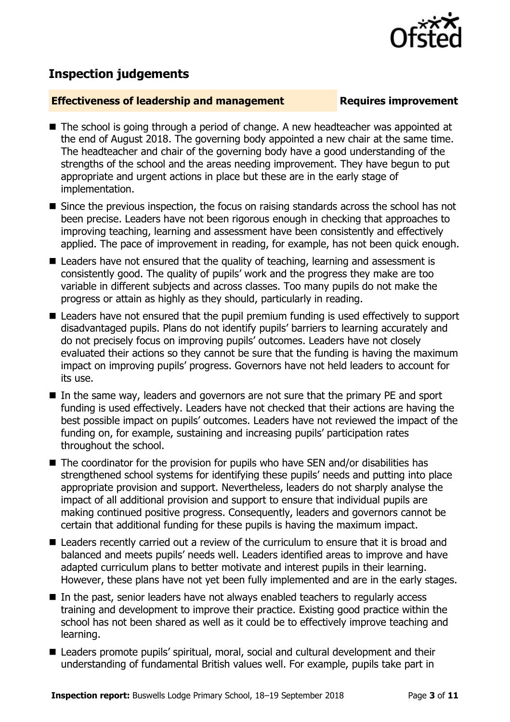

## **Inspection judgements**

### **Effectiveness of leadership and management Requires improvement**

- The school is going through a period of change. A new headteacher was appointed at the end of August 2018. The governing body appointed a new chair at the same time. The headteacher and chair of the governing body have a good understanding of the strengths of the school and the areas needing improvement. They have begun to put appropriate and urgent actions in place but these are in the early stage of implementation.
- Since the previous inspection, the focus on raising standards across the school has not been precise. Leaders have not been rigorous enough in checking that approaches to improving teaching, learning and assessment have been consistently and effectively applied. The pace of improvement in reading, for example, has not been quick enough.
- Leaders have not ensured that the quality of teaching, learning and assessment is consistently good. The quality of pupils' work and the progress they make are too variable in different subjects and across classes. Too many pupils do not make the progress or attain as highly as they should, particularly in reading.
- Leaders have not ensured that the pupil premium funding is used effectively to support disadvantaged pupils. Plans do not identify pupils' barriers to learning accurately and do not precisely focus on improving pupils' outcomes. Leaders have not closely evaluated their actions so they cannot be sure that the funding is having the maximum impact on improving pupils' progress. Governors have not held leaders to account for its use.
- In the same way, leaders and governors are not sure that the primary PE and sport funding is used effectively. Leaders have not checked that their actions are having the best possible impact on pupils' outcomes. Leaders have not reviewed the impact of the funding on, for example, sustaining and increasing pupils' participation rates throughout the school.
- The coordinator for the provision for pupils who have SEN and/or disabilities has strengthened school systems for identifying these pupils' needs and putting into place appropriate provision and support. Nevertheless, leaders do not sharply analyse the impact of all additional provision and support to ensure that individual pupils are making continued positive progress. Consequently, leaders and governors cannot be certain that additional funding for these pupils is having the maximum impact.
- Leaders recently carried out a review of the curriculum to ensure that it is broad and balanced and meets pupils' needs well. Leaders identified areas to improve and have adapted curriculum plans to better motivate and interest pupils in their learning. However, these plans have not yet been fully implemented and are in the early stages.
- In the past, senior leaders have not always enabled teachers to regularly access training and development to improve their practice. Existing good practice within the school has not been shared as well as it could be to effectively improve teaching and learning.
- Leaders promote pupils' spiritual, moral, social and cultural development and their understanding of fundamental British values well. For example, pupils take part in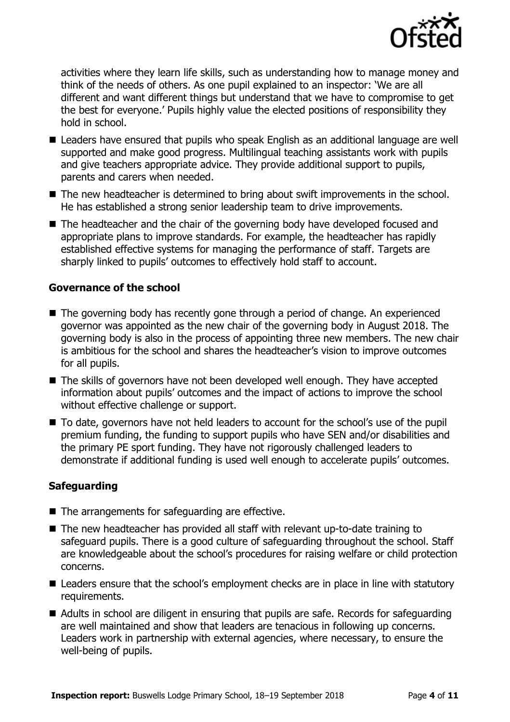

activities where they learn life skills, such as understanding how to manage money and think of the needs of others. As one pupil explained to an inspector: 'We are all different and want different things but understand that we have to compromise to get the best for everyone.' Pupils highly value the elected positions of responsibility they hold in school.

- Leaders have ensured that pupils who speak English as an additional language are well supported and make good progress. Multilingual teaching assistants work with pupils and give teachers appropriate advice. They provide additional support to pupils, parents and carers when needed.
- The new headteacher is determined to bring about swift improvements in the school. He has established a strong senior leadership team to drive improvements.
- The headteacher and the chair of the governing body have developed focused and appropriate plans to improve standards. For example, the headteacher has rapidly established effective systems for managing the performance of staff. Targets are sharply linked to pupils' outcomes to effectively hold staff to account.

### **Governance of the school**

- The governing body has recently gone through a period of change. An experienced governor was appointed as the new chair of the governing body in August 2018. The governing body is also in the process of appointing three new members. The new chair is ambitious for the school and shares the headteacher's vision to improve outcomes for all pupils.
- The skills of governors have not been developed well enough. They have accepted information about pupils' outcomes and the impact of actions to improve the school without effective challenge or support.
- To date, governors have not held leaders to account for the school's use of the pupil premium funding, the funding to support pupils who have SEN and/or disabilities and the primary PE sport funding. They have not rigorously challenged leaders to demonstrate if additional funding is used well enough to accelerate pupils' outcomes.

### **Safeguarding**

- The arrangements for safeguarding are effective.
- The new headteacher has provided all staff with relevant up-to-date training to safeguard pupils. There is a good culture of safeguarding throughout the school. Staff are knowledgeable about the school's procedures for raising welfare or child protection concerns.
- Leaders ensure that the school's employment checks are in place in line with statutory requirements.
- Adults in school are diligent in ensuring that pupils are safe. Records for safeguarding are well maintained and show that leaders are tenacious in following up concerns. Leaders work in partnership with external agencies, where necessary, to ensure the well-being of pupils.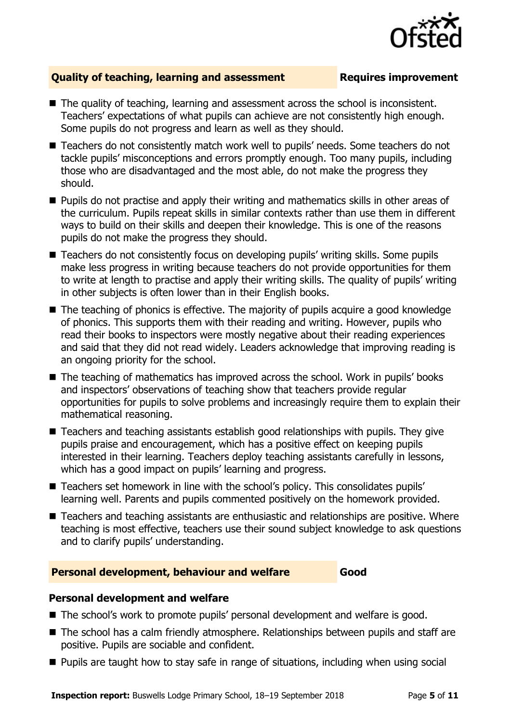

### **Quality of teaching, learning and assessment Requires improvement**

- The quality of teaching, learning and assessment across the school is inconsistent. Teachers' expectations of what pupils can achieve are not consistently high enough. Some pupils do not progress and learn as well as they should.
- Teachers do not consistently match work well to pupils' needs. Some teachers do not tackle pupils' misconceptions and errors promptly enough. Too many pupils, including those who are disadvantaged and the most able, do not make the progress they should.
- **Pupils do not practise and apply their writing and mathematics skills in other areas of** the curriculum. Pupils repeat skills in similar contexts rather than use them in different ways to build on their skills and deepen their knowledge. This is one of the reasons pupils do not make the progress they should.
- Teachers do not consistently focus on developing pupils' writing skills. Some pupils make less progress in writing because teachers do not provide opportunities for them to write at length to practise and apply their writing skills. The quality of pupils' writing in other subjects is often lower than in their English books.
- The teaching of phonics is effective. The majority of pupils acquire a good knowledge of phonics. This supports them with their reading and writing. However, pupils who read their books to inspectors were mostly negative about their reading experiences and said that they did not read widely. Leaders acknowledge that improving reading is an ongoing priority for the school.
- The teaching of mathematics has improved across the school. Work in pupils' books and inspectors' observations of teaching show that teachers provide regular opportunities for pupils to solve problems and increasingly require them to explain their mathematical reasoning.
- Teachers and teaching assistants establish good relationships with pupils. They give pupils praise and encouragement, which has a positive effect on keeping pupils interested in their learning. Teachers deploy teaching assistants carefully in lessons, which has a good impact on pupils' learning and progress.
- Teachers set homework in line with the school's policy. This consolidates pupils' learning well. Parents and pupils commented positively on the homework provided.
- Teachers and teaching assistants are enthusiastic and relationships are positive. Where teaching is most effective, teachers use their sound subject knowledge to ask questions and to clarify pupils' understanding.

### **Personal development, behaviour and welfare Good**

### **Personal development and welfare**

- The school's work to promote pupils' personal development and welfare is good.
- The school has a calm friendly atmosphere. Relationships between pupils and staff are positive. Pupils are sociable and confident.
- **Pupils are taught how to stay safe in range of situations, including when using social**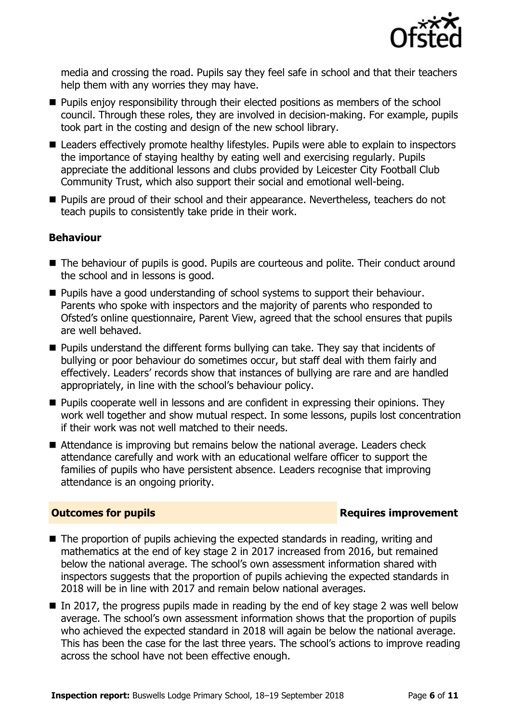

media and crossing the road. Pupils say they feel safe in school and that their teachers help them with any worries they may have.

- **Pupils enjoy responsibility through their elected positions as members of the school** council. Through these roles, they are involved in decision-making. For example, pupils took part in the costing and design of the new school library.
- Leaders effectively promote healthy lifestyles. Pupils were able to explain to inspectors the importance of staying healthy by eating well and exercising regularly. Pupils appreciate the additional lessons and clubs provided by Leicester City Football Club Community Trust, which also support their social and emotional well-being.
- **Pupils are proud of their school and their appearance. Nevertheless, teachers do not** teach pupils to consistently take pride in their work.

### **Behaviour**

- The behaviour of pupils is good. Pupils are courteous and polite. Their conduct around the school and in lessons is good.
- **Pupils have a good understanding of school systems to support their behaviour.** Parents who spoke with inspectors and the majority of parents who responded to Ofsted's online questionnaire, Parent View, agreed that the school ensures that pupils are well behaved.
- Pupils understand the different forms bullying can take. They say that incidents of bullying or poor behaviour do sometimes occur, but staff deal with them fairly and effectively. Leaders' records show that instances of bullying are rare and are handled appropriately, in line with the school's behaviour policy.
- **Pupils cooperate well in lessons and are confident in expressing their opinions. They** work well together and show mutual respect. In some lessons, pupils lost concentration if their work was not well matched to their needs.
- Attendance is improving but remains below the national average. Leaders check attendance carefully and work with an educational welfare officer to support the families of pupils who have persistent absence. Leaders recognise that improving attendance is an ongoing priority.

### **Outcomes for pupils Requires improvement**

- The proportion of pupils achieving the expected standards in reading, writing and mathematics at the end of key stage 2 in 2017 increased from 2016, but remained below the national average. The school's own assessment information shared with inspectors suggests that the proportion of pupils achieving the expected standards in 2018 will be in line with 2017 and remain below national averages.
- $\blacksquare$  In 2017, the progress pupils made in reading by the end of key stage 2 was well below average. The school's own assessment information shows that the proportion of pupils who achieved the expected standard in 2018 will again be below the national average. This has been the case for the last three years. The school's actions to improve reading across the school have not been effective enough.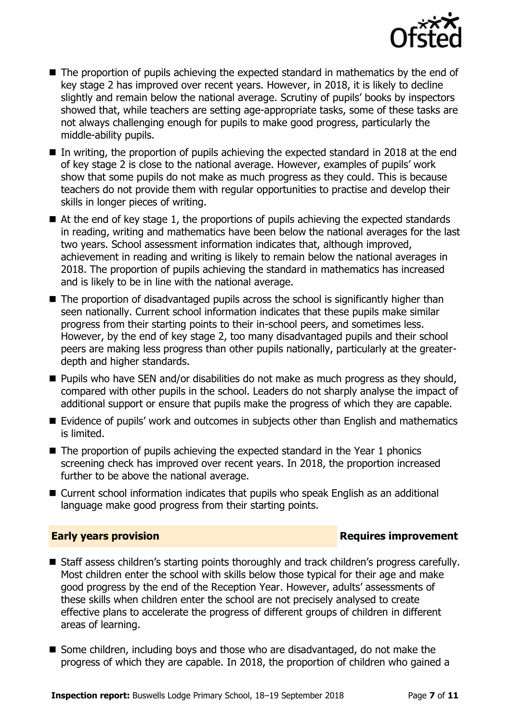

- The proportion of pupils achieving the expected standard in mathematics by the end of key stage 2 has improved over recent years. However, in 2018, it is likely to decline slightly and remain below the national average. Scrutiny of pupils' books by inspectors showed that, while teachers are setting age-appropriate tasks, some of these tasks are not always challenging enough for pupils to make good progress, particularly the middle-ability pupils.
- In writing, the proportion of pupils achieving the expected standard in 2018 at the end of key stage 2 is close to the national average. However, examples of pupils' work show that some pupils do not make as much progress as they could. This is because teachers do not provide them with regular opportunities to practise and develop their skills in longer pieces of writing.
- $\blacksquare$  At the end of key stage 1, the proportions of pupils achieving the expected standards in reading, writing and mathematics have been below the national averages for the last two years. School assessment information indicates that, although improved, achievement in reading and writing is likely to remain below the national averages in 2018. The proportion of pupils achieving the standard in mathematics has increased and is likely to be in line with the national average.
- The proportion of disadvantaged pupils across the school is significantly higher than seen nationally. Current school information indicates that these pupils make similar progress from their starting points to their in-school peers, and sometimes less. However, by the end of key stage 2, too many disadvantaged pupils and their school peers are making less progress than other pupils nationally, particularly at the greaterdepth and higher standards.
- **Pupils who have SEN and/or disabilities do not make as much progress as they should,** compared with other pupils in the school. Leaders do not sharply analyse the impact of additional support or ensure that pupils make the progress of which they are capable.
- Evidence of pupils' work and outcomes in subjects other than English and mathematics is limited.
- $\blacksquare$  The proportion of pupils achieving the expected standard in the Year 1 phonics screening check has improved over recent years. In 2018, the proportion increased further to be above the national average.
- Current school information indicates that pupils who speak English as an additional language make good progress from their starting points.

### **Early years provision Requires improvement**

- Staff assess children's starting points thoroughly and track children's progress carefully. Most children enter the school with skills below those typical for their age and make good progress by the end of the Reception Year. However, adults' assessments of these skills when children enter the school are not precisely analysed to create effective plans to accelerate the progress of different groups of children in different areas of learning.
- Some children, including boys and those who are disadvantaged, do not make the progress of which they are capable. In 2018, the proportion of children who gained a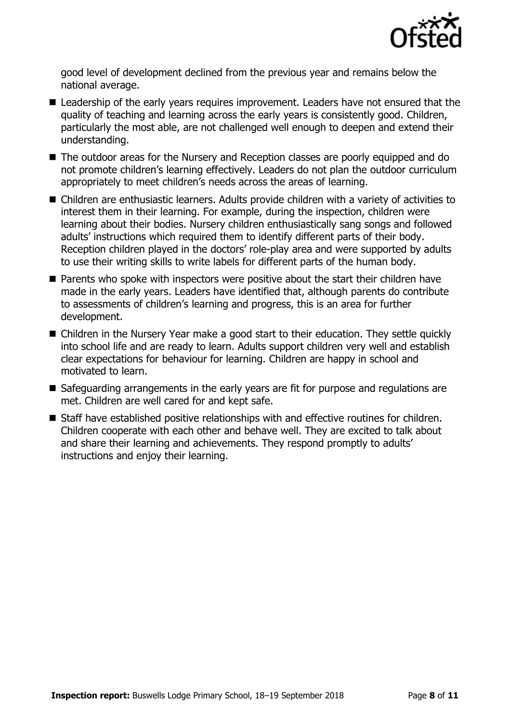

good level of development declined from the previous year and remains below the national average.

- Leadership of the early years requires improvement. Leaders have not ensured that the quality of teaching and learning across the early years is consistently good. Children, particularly the most able, are not challenged well enough to deepen and extend their understanding.
- The outdoor areas for the Nursery and Reception classes are poorly equipped and do not promote children's learning effectively. Leaders do not plan the outdoor curriculum appropriately to meet children's needs across the areas of learning.
- Children are enthusiastic learners. Adults provide children with a variety of activities to interest them in their learning. For example, during the inspection, children were learning about their bodies. Nursery children enthusiastically sang songs and followed adults' instructions which required them to identify different parts of their body. Reception children played in the doctors' role-play area and were supported by adults to use their writing skills to write labels for different parts of the human body.
- Parents who spoke with inspectors were positive about the start their children have made in the early years. Leaders have identified that, although parents do contribute to assessments of children's learning and progress, this is an area for further development.
- Children in the Nursery Year make a good start to their education. They settle quickly into school life and are ready to learn. Adults support children very well and establish clear expectations for behaviour for learning. Children are happy in school and motivated to learn.
- Safeguarding arrangements in the early years are fit for purpose and regulations are met. Children are well cared for and kept safe.
- Staff have established positive relationships with and effective routines for children. Children cooperate with each other and behave well. They are excited to talk about and share their learning and achievements. They respond promptly to adults' instructions and enjoy their learning.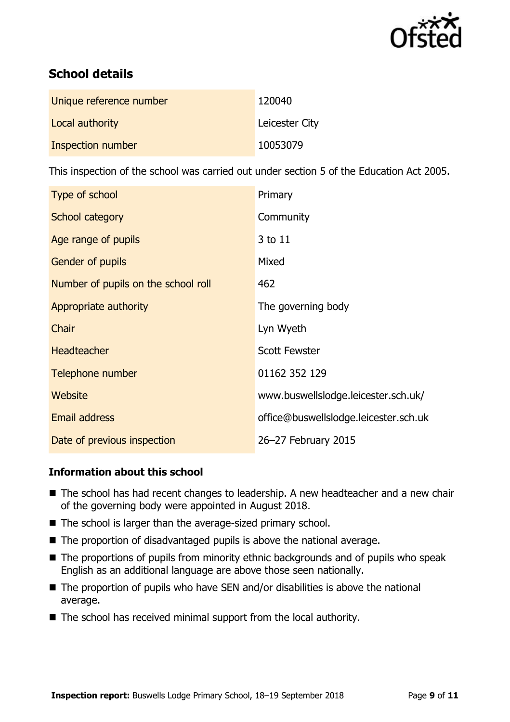

# **School details**

| Unique reference number | 120040         |
|-------------------------|----------------|
| Local authority         | Leicester City |
| Inspection number       | 10053079       |

This inspection of the school was carried out under section 5 of the Education Act 2005.

| Type of school                      | Primary                               |
|-------------------------------------|---------------------------------------|
| School category                     | Community                             |
| Age range of pupils                 | 3 to 11                               |
| <b>Gender of pupils</b>             | Mixed                                 |
| Number of pupils on the school roll | 462                                   |
| Appropriate authority               | The governing body                    |
| Chair                               | Lyn Wyeth                             |
| <b>Headteacher</b>                  | <b>Scott Fewster</b>                  |
| Telephone number                    | 01162 352 129                         |
| Website                             | www.buswellslodge.leicester.sch.uk/   |
| <b>Email address</b>                | office@buswellslodge.leicester.sch.uk |
| Date of previous inspection         | 26-27 February 2015                   |

### **Information about this school**

- The school has had recent changes to leadership. A new headteacher and a new chair of the governing body were appointed in August 2018.
- The school is larger than the average-sized primary school.
- The proportion of disadvantaged pupils is above the national average.
- The proportions of pupils from minority ethnic backgrounds and of pupils who speak English as an additional language are above those seen nationally.
- $\blacksquare$  The proportion of pupils who have SEN and/or disabilities is above the national average.
- The school has received minimal support from the local authority.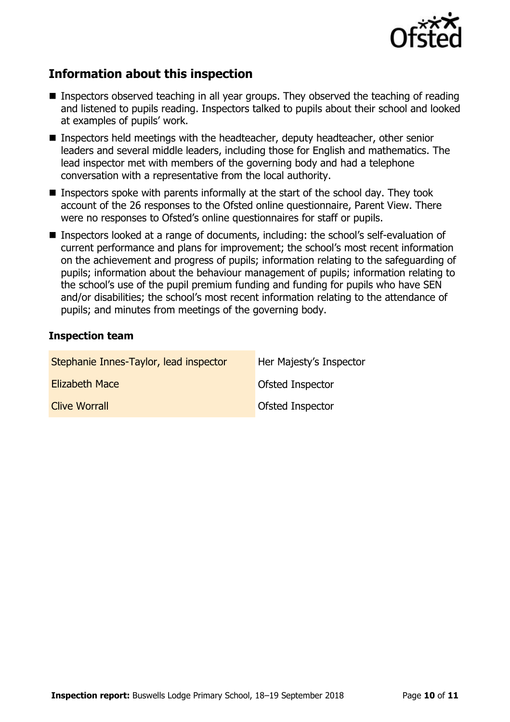

# **Information about this inspection**

- Inspectors observed teaching in all year groups. They observed the teaching of reading and listened to pupils reading. Inspectors talked to pupils about their school and looked at examples of pupils' work.
- Inspectors held meetings with the headteacher, deputy headteacher, other senior leaders and several middle leaders, including those for English and mathematics. The lead inspector met with members of the governing body and had a telephone conversation with a representative from the local authority.
- Inspectors spoke with parents informally at the start of the school day. They took account of the 26 responses to the Ofsted online questionnaire, Parent View. There were no responses to Ofsted's online questionnaires for staff or pupils.
- Inspectors looked at a range of documents, including: the school's self-evaluation of current performance and plans for improvement; the school's most recent information on the achievement and progress of pupils; information relating to the safeguarding of pupils; information about the behaviour management of pupils; information relating to the school's use of the pupil premium funding and funding for pupils who have SEN and/or disabilities; the school's most recent information relating to the attendance of pupils; and minutes from meetings of the governing body.

### **Inspection team**

| Stephanie Innes-Taylor, lead inspector | Her Majesty's Inspector |
|----------------------------------------|-------------------------|
| <b>Elizabeth Mace</b>                  | Ofsted Inspector        |
| <b>Clive Worrall</b>                   | Ofsted Inspector        |